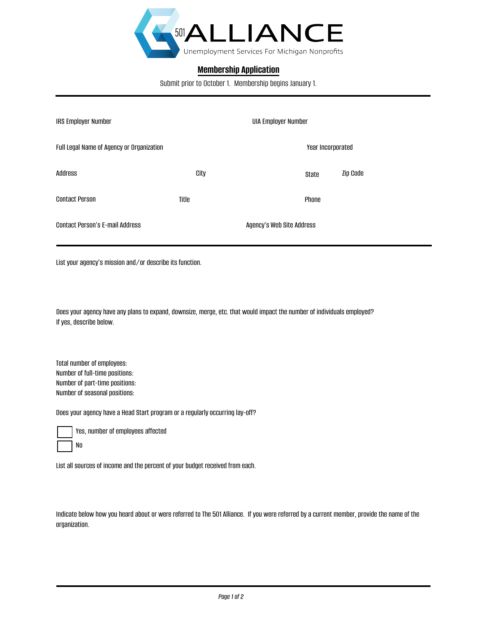

## **Membership Application**

Submit prior to October 1. Membership begins January 1.

| <b>IRS Employer Number</b>                |       |                           | <b>UIA Employer Number</b> |          |  |
|-------------------------------------------|-------|---------------------------|----------------------------|----------|--|
| Full Legal Name of Agency or Organization |       |                           | Year Incorporated          |          |  |
| Address                                   | City  |                           | State                      | Zip Code |  |
| <b>Contact Person</b>                     | Title |                           | Phone                      |          |  |
| <b>Contact Person's E-mail Address</b>    |       | Agency's Web Site Address |                            |          |  |

List your agency's mission and/or describe its function.

Does your agency have any plans to expand, downsize, merge, etc. that would impact the number of individuals employed? If yes, describe below.

Total number of employees: Number of full-time positions: Number of part-time positions: Number of seasonal positions:

Does your agency have a Head Start program or a regularly occurring lay-off?

Yes, number of employees affected No

List all sources of income and the percent of your budget received from each.

Indicate below how you heard about or were referred to The 501 Alliance. If you were referred by a current member, provide the name of the organization.